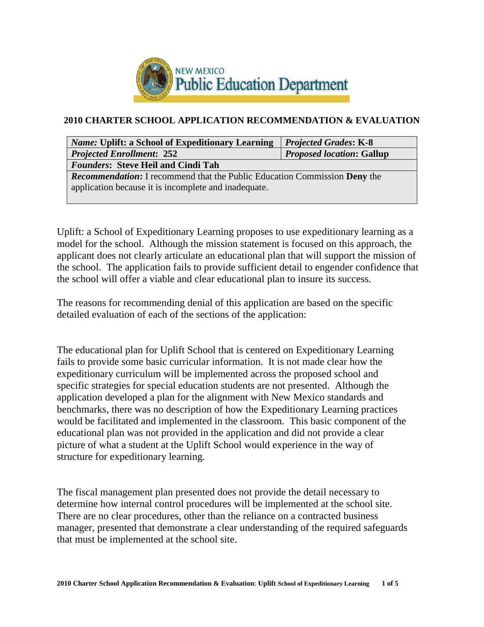

## **2010 CHARTER SCHOOL APPLICATION RECOMMENDATION & EVALUATION**

| <b>Name: Uplift: a School of Expeditionary Learning</b>                          | <b>Projected Grades: K-8</b>     |  |  |  |
|----------------------------------------------------------------------------------|----------------------------------|--|--|--|
| <b>Projected Enrollment: 252</b>                                                 | <b>Proposed location: Gallup</b> |  |  |  |
| <b>Founders: Steve Heil and Cindi Tah</b>                                        |                                  |  |  |  |
| <b>Recommendation:</b> I recommend that the Public Education Commission Deny the |                                  |  |  |  |
| application because it is incomplete and inadequate.                             |                                  |  |  |  |
|                                                                                  |                                  |  |  |  |

Uplift: a School of Expeditionary Learning proposes to use expeditionary learning as a model for the school. Although the mission statement is focused on this approach, the applicant does not clearly articulate an educational plan that will support the mission of the school. The application fails to provide sufficient detail to engender confidence that the school will offer a viable and clear educational plan to insure its success.

The reasons for recommending denial of this application are based on the specific detailed evaluation of each of the sections of the application:

The educational plan for Uplift School that is centered on Expeditionary Learning fails to provide some basic curricular information. It is not made clear how the expeditionary curriculum will be implemented across the proposed school and specific strategies for special education students are not presented. Although the application developed a plan for the alignment with New Mexico standards and benchmarks, there was no description of how the Expeditionary Learning practices would be facilitated and implemented in the classroom. This basic component of the educational plan was not provided in the application and did not provide a clear picture of what a student at the Uplift School would experience in the way of structure for expeditionary learning.

The fiscal management plan presented does not provide the detail necessary to determine how internal control procedures will be implemented at the school site. There are no clear procedures, other than the reliance on a contracted business manager, presented that demonstrate a clear understanding of the required safeguards that must be implemented at the school site.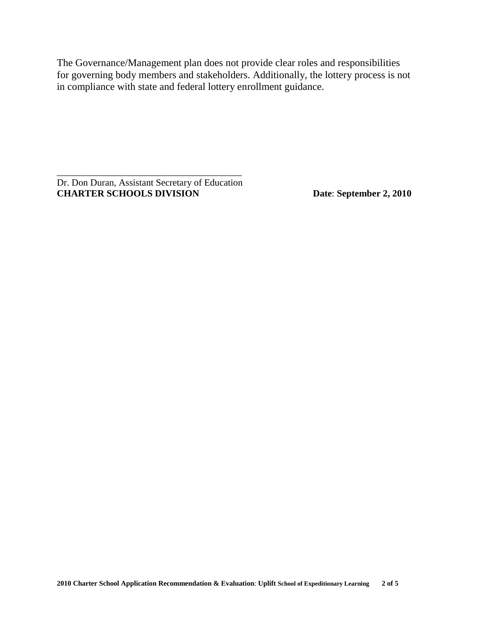The Governance/Management plan does not provide clear roles and responsibilities for governing body members and stakeholders. Additionally, the lottery process is not in compliance with state and federal lottery enrollment guidance.

\_\_\_\_\_\_\_\_\_\_\_\_\_\_\_\_\_\_\_\_\_\_\_\_\_\_\_\_\_\_\_\_\_\_\_\_\_\_\_ Dr. Don Duran, Assistant Secretary of Education **CHARTER SCHOOLS DIVISION Date**: **September 2, 2010**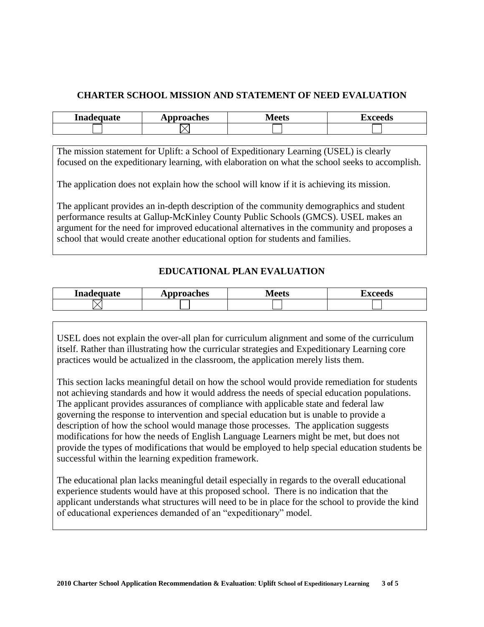## **CHARTER SCHOOL MISSION AND STATEMENT OF NEED EVALUATION**

| Inadequate | Approaches | Vleets | ahaan k<br>ccus |
|------------|------------|--------|-----------------|
|            |            |        |                 |

The mission statement for Uplift: a School of Expeditionary Learning (USEL) is clearly focused on the expeditionary learning, with elaboration on what the school seeks to accomplish.

The application does not explain how the school will know if it is achieving its mission.

The applicant provides an in-depth description of the community demographics and student performance results at Gallup-McKinley County Public Schools (GMCS). USEL makes an argument for the need for improved educational alternatives in the community and proposes a school that would create another educational option for students and families.

# **EDUCATIONAL PLAN EVALUATION**

| Inadequate | ⊾pproaches   | Maate          | H AVVUU |
|------------|--------------|----------------|---------|
|            | $\mathbf{L}$ | <b>IVICCLO</b> | wus     |
|            |              |                |         |

USEL does not explain the over-all plan for curriculum alignment and some of the curriculum itself. Rather than illustrating how the curricular strategies and Expeditionary Learning core practices would be actualized in the classroom, the application merely lists them.

This section lacks meaningful detail on how the school would provide remediation for students not achieving standards and how it would address the needs of special education populations. The applicant provides assurances of compliance with applicable state and federal law governing the response to intervention and special education but is unable to provide a description of how the school would manage those processes. The application suggests modifications for how the needs of English Language Learners might be met, but does not provide the types of modifications that would be employed to help special education students be successful within the learning expedition framework.

The educational plan lacks meaningful detail especially in regards to the overall educational experience students would have at this proposed school. There is no indication that the applicant understands what structures will need to be in place for the school to provide the kind of educational experiences demanded of an "expeditionary" model.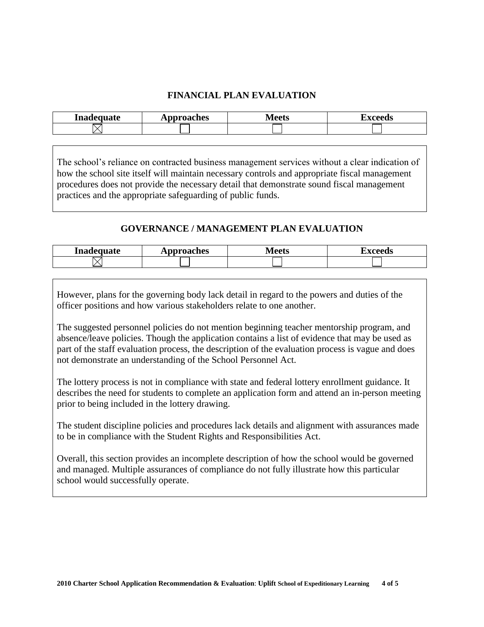## **FINANCIAL PLAN EVALUATION**

| Inadequate | Approaches | Meets | wooode  <br>ccus |
|------------|------------|-------|------------------|
|            |            |       |                  |

The school's reliance on contracted business management services without a clear indication of how the school site itself will maintain necessary controls and appropriate fiscal management procedures does not provide the necessary detail that demonstrate sound fiscal management practices and the appropriate safeguarding of public funds.

#### **GOVERNANCE / MANAGEMENT PLAN EVALUATION**

| Inadequate | Approaches | /l oote<br>◡◡ | waand d<br>د س |
|------------|------------|---------------|----------------|
|            |            |               |                |

However, plans for the governing body lack detail in regard to the powers and duties of the officer positions and how various stakeholders relate to one another.

The suggested personnel policies do not mention beginning teacher mentorship program, and absence/leave policies. Though the application contains a list of evidence that may be used as part of the staff evaluation process, the description of the evaluation process is vague and does not demonstrate an understanding of the School Personnel Act.

The lottery process is not in compliance with state and federal lottery enrollment guidance. It describes the need for students to complete an application form and attend an in-person meeting prior to being included in the lottery drawing.

The student discipline policies and procedures lack details and alignment with assurances made to be in compliance with the Student Rights and Responsibilities Act.

Overall, this section provides an incomplete description of how the school would be governed and managed. Multiple assurances of compliance do not fully illustrate how this particular school would successfully operate.